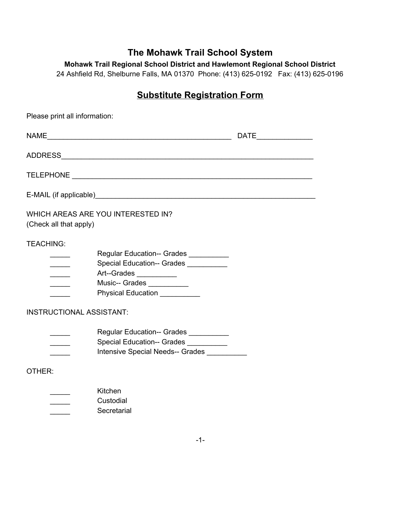## **The Mohawk Trail School System**

**Mohawk Trail Regional School District and Hawlemont Regional School District**

24 Ashfield Rd, Shelburne Falls, MA 01370 Phone: (413) 625-0192 Fax: (413) 625-0196

## **Substitute Registration Form**

| Please print all information:                                            |                                                                                                                                                   |                       |  |  |
|--------------------------------------------------------------------------|---------------------------------------------------------------------------------------------------------------------------------------------------|-----------------------|--|--|
|                                                                          |                                                                                                                                                   | DATE_________________ |  |  |
|                                                                          |                                                                                                                                                   |                       |  |  |
|                                                                          |                                                                                                                                                   |                       |  |  |
|                                                                          |                                                                                                                                                   |                       |  |  |
| WHICH AREAS ARE YOU INTERESTED IN?<br>(Check all that apply)             |                                                                                                                                                   |                       |  |  |
| <b>TEACHING:</b><br>$\overline{\phantom{a}}$<br>$\overline{\phantom{a}}$ | Regular Education-- Grades __________<br>Special Education-- Grades<br>Art--Grades<br>Music-- Grades ___________<br>Physical Education __________ |                       |  |  |
| <b>INSTRUCTIONAL ASSISTANT:</b>                                          |                                                                                                                                                   |                       |  |  |
|                                                                          | Regular Education-- Grades __________<br>Special Education-- Grades<br>Intensive Special Needs-- Grades                                           |                       |  |  |
| OTHER:                                                                   |                                                                                                                                                   |                       |  |  |
|                                                                          | Kitchen<br>Custodial<br>Secretarial                                                                                                               |                       |  |  |